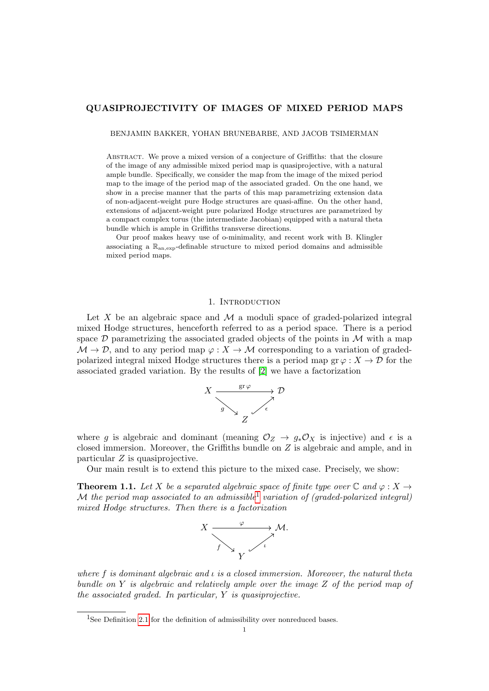## QUASIPROJECTIVITY OF IMAGES OF MIXED PERIOD MAPS

BENJAMIN BAKKER, YOHAN BRUNEBARBE, AND JACOB TSIMERMAN

Abstract. We prove a mixed version of a conjecture of Griffiths: that the closure of the image of any admissible mixed period map is quasiprojective, with a natural ample bundle. Specifically, we consider the map from the image of the mixed period map to the image of the period map of the associated graded. On the one hand, we show in a precise manner that the parts of this map parametrizing extension data of non-adjacent-weight pure Hodge structures are quasi-affine. On the other hand, extensions of adjacent-weight pure polarized Hodge structures are parametrized by a compact complex torus (the intermediate Jacobian) equipped with a natural theta bundle which is ample in Griffiths transverse directions.

Our proof makes heavy use of o-minimality, and recent work with B. Klingler associating a  $\mathbb{R}_{\text{an,exp}}$ -definable structure to mixed period domains and admissible mixed period maps.

## 1. Introduction

Let X be an algebraic space and  $\mathcal M$  a moduli space of graded-polarized integral mixed Hodge structures, henceforth referred to as a period space. There is a period space  $\mathcal D$  parametrizing the associated graded objects of the points in  $\mathcal M$  with a map  $M \to \mathcal{D}$ , and to any period map  $\varphi: X \to M$  corresponding to a variation of gradedpolarized integral mixed Hodge structures there is a period map  $\operatorname{gr} \varphi : X \to \mathcal{D}$  for the associated graded variation. By the results of [\[2\]](#page-18-0) we have a factorization



where g is algebraic and dominant (meaning  $\mathcal{O}_Z \to g_* \mathcal{O}_X$  is injective) and  $\epsilon$  is a closed immersion. Moreover, the Griffiths bundle on Z is algebraic and ample, and in particular Z is quasiprojective.

Our main result is to extend this picture to the mixed case. Precisely, we show:

<span id="page-0-1"></span>**Theorem 1.1.** Let X be a separated algebraic space of finite type over  $\mathbb C$  and  $\varphi : X \to Y$ M the period map associated to an admissible<sup>[1](#page-0-0)</sup> variation of (graded-polarized integral) mixed Hodge structures. Then there is a factorization



where f is dominant algebraic and  $\iota$  is a closed immersion. Moreover, the natural theta bundle on Y is algebraic and relatively ample over the image Z of the period map of the associated graded. In particular, Y is quasiprojective.

<span id="page-0-0"></span><sup>&</sup>lt;sup>1</sup>See Definition [2.1](#page-3-0) for the definition of admissibility over nonreduced bases.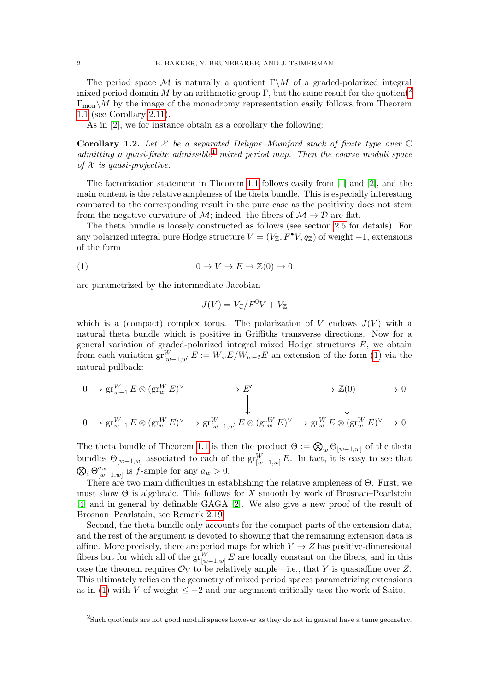The period space M is naturally a quotient  $\Gamma\backslash M$  of a graded-polarized integral mixed period domain M by an arithmetic group Γ, but the same result for the quotient<sup>[2](#page-1-0)</sup>  $\Gamma_{\text{mon}}\backslash M$  by the image of the monodromy representation easily follows from Theorem [1.1](#page-0-1) (see Corollary [2.11\)](#page-6-0).

As in [\[2\]](#page-18-0), we for instance obtain as a corollary the following:

**Corollary 1.2.** Let  $\mathcal X$  be a separated Deligne–Mumford stack of finite type over  $\mathbb C$ admitting a quasi-finite admissible  $1$  mixed period map. Then the coarse moduli space of  $X$  is quasi-projective.

The factorization statement in Theorem [1.1](#page-0-1) follows easily from [\[1\]](#page-18-1) and [\[2\]](#page-18-0), and the main content is the relative ampleness of the theta bundle. This is especially interesting compared to the corresponding result in the pure case as the positivity does not stem from the negative curvature of M; indeed, the fibers of  $\mathcal{M} \rightarrow \mathcal{D}$  are flat.

The theta bundle is loosely constructed as follows (see section [2.5](#page-6-1) for details). For any polarized integral pure Hodge structure  $V = (V_{\mathbb{Z}}, F^{\bullet}V, q_{\mathbb{Z}})$  of weight  $-1$ , extensions of the form

$$
(1) \t\t 0 \to V \to E \to \mathbb{Z}(0) \to 0
$$

are parametrized by the intermediate Jacobian

<span id="page-1-1"></span>
$$
J(V) = V_{\mathbb{C}} / F^0 V + V_{\mathbb{Z}}
$$

which is a (compact) complex torus. The polarization of V endows  $J(V)$  with a natural theta bundle which is positive in Griffiths transverse directions. Now for a general variation of graded-polarized integral mixed Hodge structures  $E$ , we obtain from each variation  $\operatorname{gr}^W_{[w-1,w]} E := W_w E / W_{w-2} E$  an extension of the form [\(1\)](#page-1-1) via the natural pullback:

$$
\begin{array}{ccc}\n0 \to \operatorname{gr}_{w-1}^W E \otimes (\operatorname{gr}_w^W E)^\vee & \xrightarrow{\qquad} E' & \xrightarrow{\qquad} & \mathbb{Z}(0) \longrightarrow 0 \\
\parallel & & \downarrow & & \downarrow & \\
0 \to \operatorname{gr}_{w-1}^W E \otimes (\operatorname{gr}_w^W E)^\vee & \xrightarrow{\qquad} \operatorname{gr}_{[w-1,w]}^W E \otimes (\operatorname{gr}_w^W E)^\vee & \xrightarrow{\qquad} \operatorname{gr}_w^W E \otimes (\operatorname{gr}_w^W E)^\vee \longrightarrow 0\n\end{array}
$$

The theta bundle of Theorem [1.1](#page-0-1) is then the product  $\Theta := \bigotimes_w \Theta_{[w-1,w]}$  of the theta bundles  $\Theta_{[w-1,w]}$  associated to each of the  $\operatorname{gr}^W_{[w-1,w]}E$ . In fact, it is easy to see that  $\bigotimes_i \Theta_{[w]}^{a_w}$  $\int_{[w-1,w]}^{a_w}$  is f-ample for any  $a_w > 0$ .

There are two main difficulties in establishing the relative ampleness of Θ. First, we must show  $\Theta$  is algebraic. This follows for X smooth by work of Brosnan–Pearlstein [\[4\]](#page-18-2) and in general by definable GAGA [\[2\]](#page-18-0). We also give a new proof of the result of Brosnan–Pearlstain, see Remark [2.19.](#page-8-0)

Second, the theta bundle only accounts for the compact parts of the extension data, and the rest of the argument is devoted to showing that the remaining extension data is affine. More precisely, there are period maps for which  $Y \to Z$  has positive-dimensional fibers but for which all of the  $gr^W_{[w-1,w]}E$  are locally constant on the fibers, and in this case the theorem requires  $\mathcal{O}_Y$  to be relatively ample—i.e., that Y is quasiaffine over Z. This ultimately relies on the geometry of mixed period spaces parametrizing extensions as in [\(1\)](#page-1-1) with V of weight  $\leq -2$  and our argument critically uses the work of Saito.

<span id="page-1-0"></span><sup>2</sup>Such quotients are not good moduli spaces however as they do not in general have a tame geometry.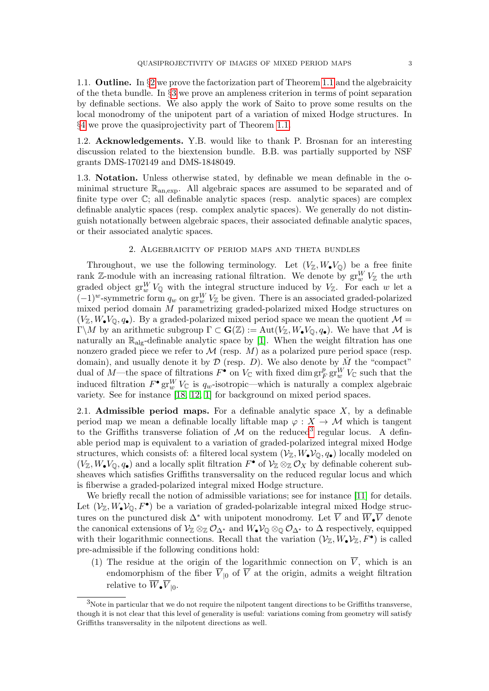1.1. **Outline.** In  $\S2$  $\S2$  we prove the factorization part of Theorem [1.1](#page-0-1) and the algebraicity of the theta bundle. In §[3](#page-9-0) we prove an ampleness criterion in terms of point separation by definable sections. We also apply the work of Saito to prove some results on the local monodromy of the unipotent part of a variation of mixed Hodge structures. In §[4](#page-15-0) we prove the quasiprojectivity part of Theorem [1.1.](#page-0-1)

1.2. Acknowledgements. Y.B. would like to thank P. Brosnan for an interesting discussion related to the biextension bundle. B.B. was partially supported by NSF grants DMS-1702149 and DMS-1848049.

1.3. Notation. Unless otherwise stated, by definable we mean definable in the ominimal structure  $\mathbb{R}_{an,exp}$ . All algebraic spaces are assumed to be separated and of finite type over C; all definable analytic spaces (resp. analytic spaces) are complex definable analytic spaces (resp. complex analytic spaces). We generally do not distinguish notationally between algebraic spaces, their associated definable analytic spaces, or their associated analytic spaces.

## 2. Algebraicity of period maps and theta bundles

<span id="page-2-0"></span>Throughout, we use the following terminology. Let  $(V_{\mathbb{Z}}, W_{\bullet}V_{\mathbb{Q}})$  be a free finite rank Z-module with an increasing rational filtration. We denote by  $\operatorname{gr}_w^W V_{\mathbb{Z}}$  the wth graded object  $gr_w^W V_{\mathbb{Q}}$  with the integral structure induced by  $V_{\mathbb{Z}}$ . For each w let a  $(-1)^w$ -symmetric form  $q_w$  on  $gr_w^W V_{\mathbb{Z}}$  be given. There is an associated graded-polarized mixed period domain M parametrizing graded-polarized mixed Hodge structures on  $(V_{\mathbb{Z}}, W_{\bullet}V_{\mathbb{Q}}, q_{\bullet})$ . By a graded-polarized mixed period space we mean the quotient  $\mathcal{M} =$ Γ\M by an arithmetic subgroup  $Γ ⊂ G(Z) := Aut(V<sub>Z</sub>, W<sub>•</sub>V<sub>Q</sub>, q<sub>•</sub>)$ . We have that M is naturally an  $\mathbb{R}_{\text{alg}}$ -definable analytic space by [\[1\]](#page-18-1). When the weight filtration has one nonzero graded piece we refer to  $\mathcal M$  (resp.  $M$ ) as a polarized pure period space (resp. domain), and usually denote it by  $D$  (resp. D). We also denote by  $\check{M}$  the "compact" dual of M—the space of filtrations  $F^{\bullet}$  on  $V_{\mathbb{C}}$  with fixed dim  $gr_F^p gr_W^W V_{\mathbb{C}}$  such that the induced filtration  $F^{\bullet}$   $\mathrm{gr}^W_w V_{\mathbb{C}}$  is  $q_w$ -isotropic—which is naturally a complex algebraic variety. See for instance [\[18,](#page-19-0) [12,](#page-18-3) [1\]](#page-18-1) for background on mixed period spaces.

2.1. Admissible period maps. For a definable analytic space  $X$ , by a definable period map we mean a definable locally liftable map  $\varphi : X \to M$  which is tangent to the Griffiths transverse foliation of  $\mathcal M$  on the reduced<sup>[3](#page-2-1)</sup> regular locus. A definable period map is equivalent to a variation of graded-polarized integral mixed Hodge structures, which consists of: a filtered local system  $(\mathcal{V}_\mathbb{Z}, W_\bullet \mathcal{V}_\mathbb{Q}, q_\bullet)$  locally modeled on  $(V_{\mathbb{Z}}, W_{\bullet}V_{\mathbb{Q}}, q_{\bullet})$  and a locally split filtration  $F^{\bullet}$  of  $V_{\mathbb{Z}} \otimes_{\mathbb{Z}} \mathcal{O}_X$  by definable coherent subsheaves which satisfies Griffiths transversality on the reduced regular locus and which is fiberwise a graded-polarized integral mixed Hodge structure.

We briefly recall the notion of admissible variations; see for instance [\[11\]](#page-18-4) for details. Let  $(\mathcal{V}_\mathbb{Z}, W_\bullet \mathcal{V}_\mathbb{Q}, F^\bullet)$  be a variation of graded-polarizable integral mixed Hodge structures on the punctured disk  $\Delta^*$  with unipotent monodromy. Let  $\overline{V}$  and  $\overline{W}_{\bullet}\overline{V}$  denote the canonical extensions of  $\mathcal{V}_{\mathbb{Z}} \otimes_{\mathbb{Z}} \mathcal{O}_{\Delta^*}$  and  $W_{\bullet} \mathcal{V}_{\mathbb{Q}} \otimes_{\mathbb{Q}} \mathcal{O}_{\Delta^*}$  to  $\Delta$  respectively, equipped with their logarithmic connections. Recall that the variation  $(\mathcal{V}_\mathbb{Z}, W_\bullet \mathcal{V}_\mathbb{Z}, F^\bullet)$  is called pre-admissible if the following conditions hold:

(1) The residue at the origin of the logarithmic connection on  $\overline{V}$ , which is an endomorphism of the fiber  $\overline{V}_{0}$  of  $\overline{V}$  at the origin, admits a weight filtration relative to  $W_{\bullet}V_{|0}.$ 

<span id="page-2-1"></span><sup>&</sup>lt;sup>3</sup>Note in particular that we do not require the nilpotent tangent directions to be Griffiths transverse, though it is not clear that this level of generality is useful: variations coming from geometry will satisfy Griffiths transversality in the nilpotent directions as well.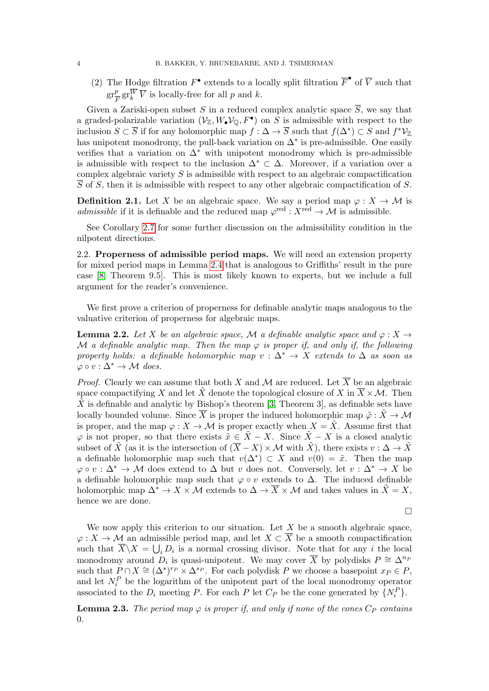(2) The Hodge filtration  $F^{\bullet}$  extends to a locally split filtration  $\overline{F}^{\bullet}$  of  $\overline{V}$  such that  $gr^p_{\overline{r}}$  $\frac{p}{F}$ gr<sup>W</sup> $\overline{V}$  is locally-free for all p and k.

Given a Zariski-open subset S in a reduced complex analytic space  $\overline{S}$ , we say that a graded-polarizable variation  $(\mathcal{V}_\mathbb{Z}, W_\bullet \mathcal{V}_\mathbb{Q}, F^\bullet)$  on S is admissible with respect to the inclusion  $S \subset \overline{S}$  if for any holomorphic map  $f : \Delta \to \overline{S}$  such that  $f(\Delta^*) \subset S$  and  $f^* \mathcal{V}_{\mathbb{Z}}$ has unipotent monodromy, the pull-back variation on  $\Delta^*$  is pre-admissible. One easily verifies that a variation on  $\Delta^*$  with unipotent monodromy which is pre-admissible is admissible with respect to the inclusion  $\Delta^* \subset \Delta$ . Moreover, if a variation over a complex algebraic variety  $S$  is admissible with respect to an algebraic compactification  $\overline{S}$  of S, then it is admissible with respect to any other algebraic compactification of S.

<span id="page-3-0"></span>**Definition 2.1.** Let X be an algebraic space. We say a period map  $\varphi: X \to M$  is admissible if it is definable and the reduced map  $\varphi^{\text{red}} : X^{\text{red}} \to \mathcal{M}$  is admissible.

See Corollary [2.7](#page-5-0) for some further discussion on the admissibility condition in the nilpotent directions.

2.2. Properness of admissible period maps. We will need an extension property for mixed period maps in Lemma [2.4](#page-4-0) that is analogous to Griffiths' result in the pure case [\[8,](#page-18-5) Theorem 9.5]. This is most likely known to experts, but we include a full argument for the reader's convenience.

We first prove a criterion of properness for definable analytic maps analogous to the valuative criterion of properness for algebraic maps.

<span id="page-3-1"></span>**Lemma 2.2.** Let X be an algebraic space, M a definable analytic space and  $\varphi: X \to$ M a definable analytic map. Then the map  $\varphi$  is proper if, and only if, the following property holds: a definable holomorphic map  $v : \Delta^* \to X$  extends to  $\Delta$  as soon as  $\varphi \circ v : \Delta^* \to \mathcal{M}$  does.

*Proof.* Clearly we can assume that both X and M are reduced. Let  $\overline{X}$  be an algebraic space compactifying X and let  $\tilde{X}$  denote the topological closure of X in  $\overline{X} \times \mathcal{M}$ . Then  $\tilde{X}$  is definable and analytic by Bishop's theorem [\[3,](#page-18-6) Theorem 3], as definable sets have locally bounded volume. Since  $\overline{X}$  is proper the induced holomorphic map  $\tilde{\varphi} : \tilde{X} \to \mathcal{M}$ is proper, and the map  $\varphi: X \to \mathcal{M}$  is proper exactly when  $X = \tilde{X}$ . Assume first that  $\varphi$  is not proper, so that there exists  $\tilde{x} \in \tilde{X} - X$ . Since  $\tilde{X} - X$  is a closed analytic subset of  $\tilde{X}$  (as it is the intersection of  $(\overline{X} - X) \times \mathcal{M}$  with  $\tilde{X}$ ), there exists  $v : \Delta \to \tilde{X}$ a definable holomorphic map such that  $v(\Delta^*) \subset X$  and  $v(0) = \tilde{x}$ . Then the map  $\varphi \circ v : \Delta^* \to \mathcal{M}$  does extend to  $\Delta$  but v does not. Conversely, let  $v : \Delta^* \to X$  be a definable holomorphic map such that  $\varphi \circ v$  extends to  $\Delta$ . The induced definable holomorphic map  $\Delta^* \to X \times \mathcal{M}$  extends to  $\Delta \to \overline{X} \times \mathcal{M}$  and takes values in  $\tilde{X} = X$ , hence we are done.

$$
\Box
$$

We now apply this criterion to our situation. Let  $X$  be a smooth algebraic space,  $\varphi: X \to \mathcal{M}$  an admissible period map, and let  $X \subset \overline{X}$  be a smooth compactification such that  $\overline{X}\backslash X = \bigcup_i D_i$  is a normal crossing divisor. Note that for any i the local monodromy around  $D_i$  is quasi-unipotent. We may cover  $\overline{X}$  by polydisks  $P \cong \Delta^{n_P}$ such that  $P \cap X \cong (\Delta^*)^{r_P} \times \Delta^{s_P}$ . For each polydisk P we choose a basepoint  $x_P \in P$ , and let  $N_i^P$  be the logarithm of the unipotent part of the local monodromy operator associated to the  $D_i$  meeting P. For each P let  $C_P$  be the cone generated by  $\{N_i^P\}$ .

<span id="page-3-2"></span>**Lemma 2.3.** The period map  $\varphi$  is proper if, and only if none of the cones  $C_P$  contains 0.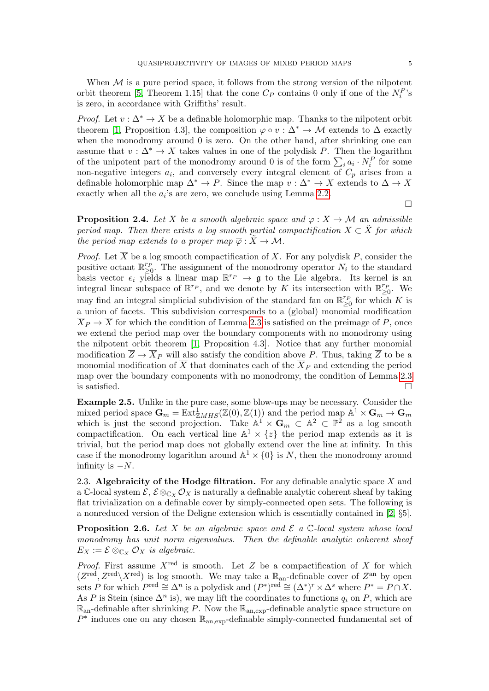When  $M$  is a pure period space, it follows from the strong version of the nilpotent orbit theorem [\[5,](#page-18-7) Theorem 1.15] that the cone  $C_P$  contains 0 only if one of the  $N_i^P$ 's is zero, in accordance with Griffiths' result.

*Proof.* Let  $v : \Delta^* \to X$  be a definable holomorphic map. Thanks to the nilpotent orbit theorem [\[1,](#page-18-1) Proposition 4.3], the composition  $\varphi \circ v : \Delta^* \to \mathcal{M}$  extends to  $\Delta$  exactly when the monodromy around 0 is zero. On the other hand, after shrinking one can assume that  $v : \Delta^* \to X$  takes values in one of the polydisk P. Then the logarithm of the unipotent part of the monodromy around 0 is of the form  $\sum_i a_i \cdot N_i^P$  for some non-negative integers  $a_i$ , and conversely every integral element of  $C_p$  arises from a definable holomorphic map  $\Delta^* \to P$ . Since the map  $v : \Delta^* \to X$  extends to  $\Delta \to X$ exactly when all the  $a_i$ 's are zero, we conclude using Lemma [2.2.](#page-3-1)

 $\Box$ 

<span id="page-4-0"></span>**Proposition 2.4.** Let X be a smooth algebraic space and  $\varphi: X \to \mathcal{M}$  an admissible period map. Then there exists a log smooth partial compactification  $X \subset X$  for which the period map extends to a proper map  $\overline{\varphi} : \tilde{X} \to \mathcal{M}$ .

*Proof.* Let  $\overline{X}$  be a log smooth compactification of X. For any polydisk P, consider the positive octant  $\mathbb{R}_{\geq 0}^{r_p}$ . The assignment of the monodromy operator  $N_i$  to the standard basis vector  $e_i$  yields a linear map  $\mathbb{R}^{r_p} \to \mathfrak{g}$  to the Lie algebra. Its kernel is an integral linear subspace of  $\mathbb{R}^{r_p}$ , and we denote by K its intersection with  $\mathbb{R}_{\geq 0}^{r_p}$ . We may find an integral simplicial subdivision of the standard fan on  $\mathbb{R}_{\geq 0}^{r_p}$  for which K is a union of facets. This subdivision corresponds to a (global) monomial modification  $\overline{X}_P \to \overline{X}$  for which the condition of Lemma [2.3](#page-3-2) is satisfied on the preimage of P, once we extend the period map over the boundary components with no monodromy using the nilpotent orbit theorem [\[1,](#page-18-1) Proposition 4.3]. Notice that any further monomial modification  $\overline{Z} \to \overline{X}_P$  will also satisfy the condition above P. Thus, taking  $\overline{Z}$  to be a monomial modification of  $\overline{X}$  that dominates each of the  $\overline{X}_P$  and extending the period map over the boundary components with no monodromy, the condition of Lemma [2.3](#page-3-2) is satisfied.  $\Box$ 

Example 2.5. Unlike in the pure case, some blow-ups may be necessary. Consider the mixed period space  $G_m = \text{Ext}^1_{\mathbb{Z} MHS}(\mathbb{Z}(0), \mathbb{Z}(1))$  and the period map  $\mathbb{A}^1 \times G_m \to G_m$ which is just the second projection. Take  $\mathbb{A}^1 \times \mathbf{G}_m \subset \mathbb{A}^2 \subset \mathbb{P}^2$  as a log smooth compactification. On each vertical line  $\mathbb{A}^1 \times \{z\}$  the period map extends as it is trivial, but the period map does not globally extend over the line at infinity. In this case if the monodromy logarithm around  $\mathbb{A}^1 \times \{0\}$  is N, then the monodromy around infinity is  $-N$ .

2.3. Algebraicity of the Hodge filtration. For any definable analytic space  $X$  and a C-local system  $\mathcal{E}, \mathcal{E} \otimes_{\mathbb{C}_Y} \mathcal{O}_X$  is naturally a definable analytic coherent sheaf by taking flat trivialization on a definable cover by simply-connected open sets. The following is a nonreduced version of the Deligne extension which is essentially contained in [\[2,](#page-18-0) §5].

**Proposition 2.6.** Let X be an algebraic space and  $\mathcal{E}$  a C-local system whose local monodromy has unit norm eigenvalues. Then the definable analytic coherent sheaf  $E_X := \mathcal{E} \otimes_{\mathbb{C}_X} \mathcal{O}_X$  is algebraic.

*Proof.* First assume  $X^{\text{red}}$  is smooth. Let Z be a compactification of X for which  $(Z^{\text{red}}, Z^{\text{red}}\setminus X^{\text{red}})$  is log smooth. We may take a  $\mathbb{R}_{\text{an}}$ -definable cover of  $Z^{\text{an}}$  by open sets P for which  $P^{\text{red}} \cong \Delta^n$  is a polydisk and  $(P^*)^{\text{red}} \cong (\Delta^*)^r \times \Delta^s$  where  $P^* = P \cap X$ . As P is Stein (since  $\Delta^n$  is), we may lift the coordinates to functions  $q_i$  on P, which are  $\mathbb{R}_{\text{an}}$ -definable after shrinking P. Now the  $\mathbb{R}_{\text{an,exp}}$ -definable analytic space structure on  $P^*$  induces one on any chosen  $\mathbb{R}_{\text{an,exp}}$ -definable simply-connected fundamental set of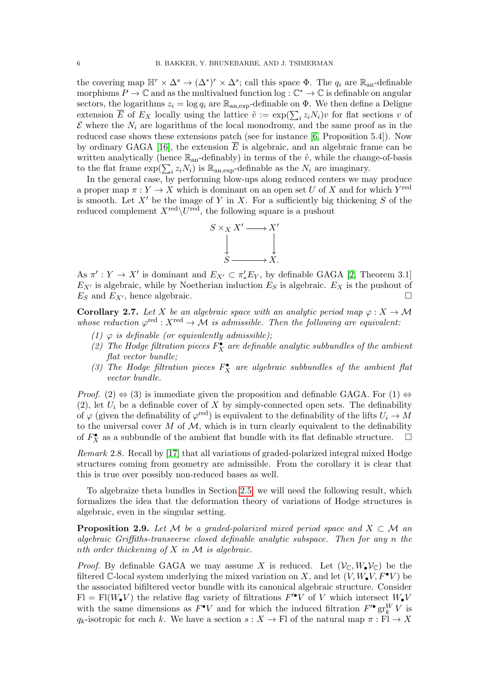the covering map  $\mathbb{H}^r \times \Delta^s \to (\Delta^*)^r \times \Delta^s$ ; call this space  $\Phi$ . The  $q_i$  are  $\mathbb{R}_{\text{an}}$ -definable morphisms  $P \to \mathbb{C}$  and as the multivalued function  $\log : \mathbb{C}^* \to \mathbb{C}$  is definable on angular sectors, the logarithms  $z_i = \log q_i$  are  $\mathbb{R}_{\text{an,exp}}$ -definable on  $\Phi$ . We then define a Deligne extension  $\overline{E}$  of  $E_X$  locally using the lattice  $\tilde{v} := \exp(\sum_i z_i N_i)v$  for flat sections v of  $\mathcal E$  where the  $N_i$  are logarithms of the local monodromy, and the same proof as in the reduced case shows these extensions patch (see for instance [\[6,](#page-18-8) Proposition 5.4]). Now by ordinary GAGA [\[16\]](#page-18-9), the extension  $\overline{E}$  is algebraic, and an algebraic frame can be written analytically (hence  $\mathbb{R}_{an}$ -definably) in terms of the  $\tilde{v}$ , while the change-of-basis to the flat frame  $\exp(\sum_i z_i N_i)$  is  $\mathbb{R}_{\text{an,exp}}$ -definable as the  $N_i$  are imaginary.

In the general case, by performing blow-ups along reduced centers we may produce a proper map  $\pi: Y \to X$  which is dominant on an open set U of X and for which  $Y^{\text{red}}$ is smooth. Let  $X'$  be the image of Y in X. For a sufficiently big thickening S of the reduced complement  $X^{\text{red}}\backslash U^{\text{red}}$ , the following square is a pushout



As  $\pi': Y \to X'$  is dominant and  $E_{X'} \subset \pi'_{*} E_{Y}$ , by definable GAGA [\[2,](#page-18-0) Theorem 3.1]  $E_{X'}$  is algebraic, while by Noetherian induction  $E_S$  is algebraic.  $E_X$  is the pushout of  $E_S$  and  $E_{X'}$ , hence algebraic.

<span id="page-5-0"></span>**Corollary 2.7.** Let X be an algebraic space with an analytic period map  $\varphi: X \to M$ whose reduction  $\varphi^{\text{red}}: X^{\text{red}} \to \mathcal{M}$  is admissible. Then the following are equivalent:

- (1)  $\varphi$  is definable (or equivalently admissible);
- (2) The Hodge filtration pieces  $F_X^{\bullet}$  are definable analytic subbundles of the ambient flat vector bundle;
- (3) The Hodge filtration pieces  $F_X^{\bullet}$  are algebraic subbundles of the ambient flat vector bundle.

*Proof.* (2)  $\Leftrightarrow$  (3) is immediate given the proposition and definable GAGA. For (1)  $\Leftrightarrow$ (2), let  $U_i$  be a definable cover of X by simply-connected open sets. The definability of  $\varphi$  (given the definability of  $\varphi^{\text{red}}$ ) is equivalent to the definability of the lifts  $U_i \to M$ to the universal cover  $M$  of  $M$ , which is in turn clearly equivalent to the definability of  $F_X^{\bullet}$  as a subbundle of the ambient flat bundle with its flat definable structure.  $\Box$ 

Remark 2.8. Recall by [\[17\]](#page-18-10) that all variations of graded-polarized integral mixed Hodge structures coming from geometry are admissible. From the corollary it is clear that this is true over possibly non-reduced bases as well.

To algebraize theta bundles in Section [2.5,](#page-6-1) we will need the following result, which formalizes the idea that the deformation theory of variations of Hodge structures is algebraic, even in the singular setting.

<span id="page-5-1"></span>**Proposition 2.9.** Let M be a graded-polarized mixed period space and  $X \subset \mathcal{M}$  and algebraic Griffiths-transverse closed definable analytic subspace. Then for any n the nth order thickening of  $X$  in  $\mathcal M$  is algebraic.

*Proof.* By definable GAGA we may assume X is reduced. Let  $(\mathcal{V}_{\mathbb{C}}, W_{\bullet}\mathcal{V}_{\mathbb{C}})$  be the filtered C-local system underlying the mixed variation on X, and let  $(V, W_{\bullet}V, F^{\bullet}V)$  be the associated bifiltered vector bundle with its canonical algebraic structure. Consider  $\text{FI} = \text{FI}(W_{\bullet}V)$  the relative flag variety of filtrations  $F^{\prime\bullet}V$  of V which intersect  $W_{\bullet}V$ with the same dimensions as  $F^{\bullet}V$  and for which the induced filtration  $F'^{\bullet} \text{gr}^W_k V$  is  $q_k$ -isotropic for each k. We have a section  $s: X \to \mathbb{F}$  of the natural map  $\pi: \mathbb{F} \to X$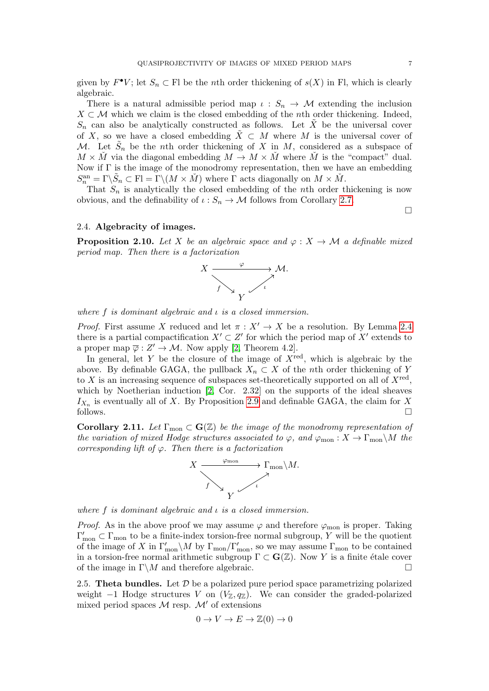given by  $F^{\bullet}V$ ; let  $S_n \subset \mathbb{F}$ l be the *n*th order thickening of  $s(X)$  in Fl, which is clearly algebraic.

There is a natural admissible period map  $\iota : S_n \to M$  extending the inclusion  $X \subset \mathcal{M}$  which we claim is the closed embedding of the *n*th order thickening. Indeed,  $S_n$  can also be analytically constructed as follows. Let  $\tilde{X}$  be the universal cover of X, so we have a closed embedding  $\tilde{X} \subset M$  where M is the universal cover of M. Let  $\tilde{S}_n$  be the nth order thickening of X in M, considered as a subspace of  $M \times \tilde{M}$  via the diagonal embedding  $M \to M \times \tilde{M}$  where  $\tilde{M}$  is the "compact" dual. Now if Γ is the image of the monodromy representation, then we have an embedding  $S_n^{\text{an}} = \Gamma \backslash \tilde{S}_n \subset \text{Fl} = \Gamma \backslash (M \times \tilde{M})$  where  $\Gamma$  acts diagonally on  $M \times \tilde{M}$ .

That  $S_n$  is analytically the closed embedding of the nth order thickening is now obvious, and the definability of  $\iota : S_n \to M$  follows from Corollary [2.7.](#page-5-0)

## 2.4. Algebracity of images.

<span id="page-6-2"></span>**Proposition 2.10.** Let X be an algebraic space and  $\varphi: X \to \mathcal{M}$  a definable mixed period map. Then there is a factorization



where  $f$  is dominant algebraic and  $\iota$  is a closed immersion.

*Proof.* First assume X reduced and let  $\pi : X' \to X$  be a resolution. By Lemma [2.4](#page-4-0) there is a partial compactification  $X' \subset Z'$  for which the period map of  $X'$  extends to a proper map  $\overline{\varphi}: Z' \to M$ . Now apply [\[2,](#page-18-0) Theorem 4.2].

In general, let Y be the closure of the image of  $X^{\text{red}}$ , which is algebraic by the above. By definable GAGA, the pullback  $X_n \subset X$  of the nth order thickening of Y to X is an increasing sequence of subspaces set-theoretically supported on all of  $X^{\text{red}}$ , which by Noetherian induction [\[2,](#page-18-0) Cor. 2.32] on the supports of the ideal sheaves  $I_{X_n}$  is eventually all of X. By Proposition [2.9](#page-5-1) and definable GAGA, the claim for X follows.

<span id="page-6-0"></span>Corollary 2.11. Let  $\Gamma_{\text{mon}} \subset \mathbf{G}(\mathbb{Z})$  be the image of the monodromy representation of the variation of mixed Hodge structures associated to  $\varphi$ , and  $\varphi_{\text{mon}}$ :  $X \to \Gamma_{\text{mon}}\backslash M$  the corresponding lift of  $\varphi$ . Then there is a factorization



where  $f$  is dominant algebraic and  $\iota$  is a closed immersion.

*Proof.* As in the above proof we may assume  $\varphi$  and therefore  $\varphi$ <sub>mon</sub> is proper. Taking  $\Gamma'_{\text{mon}} \subset \Gamma_{\text{mon}}$  to be a finite-index torsion-free normal subgroup, Y will be the quotient of the image of X in  $\Gamma'_{\text{mon}}\setminus M$  by  $\Gamma_{\text{mon}}/\Gamma'_{\text{mon}}$ , so we may assume  $\Gamma_{\text{mon}}$  to be contained in a torsion-free normal arithmetic subgroup  $\Gamma \subset \mathbf{G}(\mathbb{Z})$ . Now Y is a finite étale cover of the image in  $\Gamma \backslash M$  and therefore algebraic.

<span id="page-6-1"></span>2.5. Theta bundles. Let  $D$  be a polarized pure period space parametrizing polarized weight  $-1$  Hodge structures V on  $(V_{\mathbb{Z}}, q_{\mathbb{Z}})$ . We can consider the graded-polarized mixed period spaces  $\mathcal M$  resp.  $\mathcal M'$  of extensions

$$
0 \to V \to E \to \mathbb{Z}(0) \to 0
$$

 $\Box$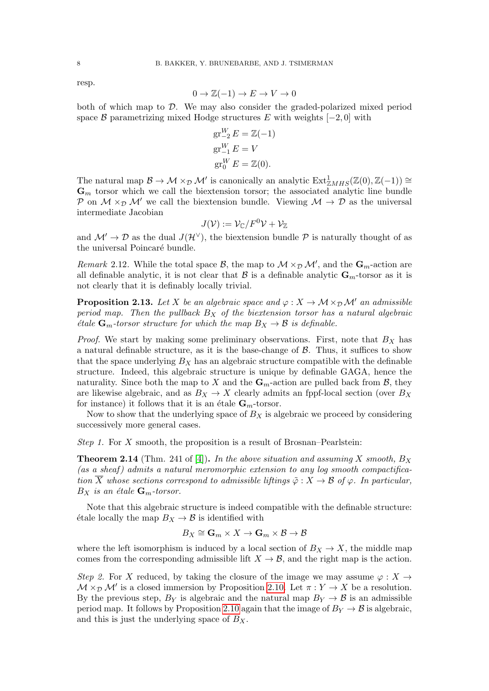resp.

$$
0 \to \mathbb{Z}(-1) \to E \to V \to 0
$$

both of which map to D. We may also consider the graded-polarized mixed period space B parametrizing mixed Hodge structures E with weights  $[-2, 0]$  with

$$
gr_{-2}^{W} E = \mathbb{Z}(-1)
$$
  
\n
$$
gr_{-1}^{W} E = V
$$
  
\n
$$
gr_{0}^{W} E = \mathbb{Z}(0).
$$

The natural map  $\mathcal{B} \to \mathcal{M} \times_{\mathcal{D}} \mathcal{M}'$  is canonically an analytic  $\text{Ext}^1_{\mathbb{Z}MHS}(\mathbb{Z}(0), \mathbb{Z}(-1)) \cong$  $\mathbf{G}_m$  torsor which we call the biextension torsor; the associated analytic line bundle P on  $M \times_{\mathcal{D}} M'$  we call the biextension bundle. Viewing  $M \to \mathcal{D}$  as the universal intermediate Jacobian

$$
J(\mathcal{V}) := \mathcal{V}_{\mathbb{C}}/F^0\mathcal{V} + \mathcal{V}_{\mathbb{Z}}
$$

and  $\mathcal{M}' \to \mathcal{D}$  as the dual  $J(\mathcal{H}^{\vee})$ , the biextension bundle  $\mathcal P$  is naturally thought of as the universal Poincaré bundle.

Remark 2.12. While the total space  $\mathcal{B}$ , the map to  $\mathcal{M} \times_{\mathcal{D}} \mathcal{M}'$ , and the  $\mathbf{G}_m$ -action are all definable analytic, it is not clear that  $\mathcal B$  is a definable analytic  $\mathbf G_m$ -torsor as it is not clearly that it is definably locally trivial.

<span id="page-7-0"></span>**Proposition 2.13.** Let X be an algebraic space and  $\varphi: X \to \mathcal{M} \times_{\mathcal{D}} \mathcal{M}'$  an admissible period map. Then the pullback  $B<sub>X</sub>$  of the biextension torsor has a natural algebraic *étale*  $\mathbf{G}_m$ -torsor structure for which the map  $B_X \to \mathcal{B}$  is definable.

*Proof.* We start by making some preliminary observations. First, note that  $B_X$  has a natural definable structure, as it is the base-change of  $\beta$ . Thus, it suffices to show that the space underlying  $B_X$  has an algebraic structure compatible with the definable structure. Indeed, this algebraic structure is unique by definable GAGA, hence the naturality. Since both the map to X and the  $\mathbf{G}_m$ -action are pulled back from B, they are likewise algebraic, and as  $B_X \to X$  clearly admits an fppf-local section (over  $B_X$ for instance) it follows that it is an étale  $G_m$ -torsor.

Now to show that the underlying space of  $B_X$  is algebraic we proceed by considering successively more general cases.

Step 1. For X smooth, the proposition is a result of Brosnan–Pearlstein:

<span id="page-7-1"></span>**Theorem 2.14** (Thm. 241 of [\[4\]](#page-18-2)). In the above situation and assuming X smooth,  $B_X$  $(as a sheaf) admits a natural meromorphic extension to any log smooth compactifica$ tion  $\overline{X}$  whose sections correspond to admissible liftings  $\tilde{\varphi}: X \to \mathcal{B}$  of  $\varphi$ . In particular,  $B_X$  is an étale  $\mathbf{G}_m$ -torsor.

Note that this algebraic structure is indeed compatible with the definable structure: étale locally the map  $B_X \to \mathcal{B}$  is identified with

$$
B_X \cong \mathbf{G}_m \times X \to \mathbf{G}_m \times \mathcal{B} \to \mathcal{B}
$$

where the left isomorphism is induced by a local section of  $B_X \to X$ , the middle map comes from the corresponding admissible lift  $X \to \mathcal{B}$ , and the right map is the action.

Step 2. For X reduced, by taking the closure of the image we may assume  $\varphi: X \to$  $M \times_{\mathcal{D}} M'$  is a closed immersion by Proposition [2.10.](#page-6-2) Let  $\pi : Y \to X$  be a resolution. By the previous step,  $B_Y$  is algebraic and the natural map  $B_Y \to \mathcal{B}$  is an admissible period map. It follows by Proposition [2.10](#page-6-2) again that the image of  $B_Y \to \mathcal{B}$  is algebraic, and this is just the underlying space of  $B_X$ .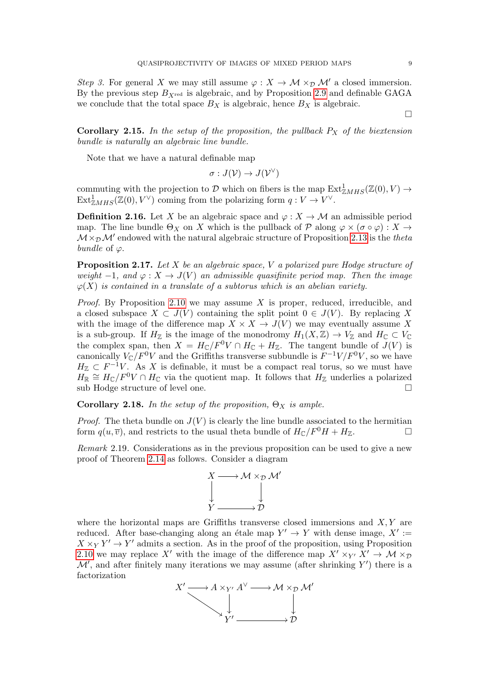Step 3. For general X we may still assume  $\varphi: X \to M \times_{\mathcal{D}} M'$  a closed immersion. By the previous step  $B_{X_{\text{red}}}$  is algebraic, and by Proposition [2.9](#page-5-1) and definable GAGA we conclude that the total space  $B_X$  is algebraic, hence  $B_X$  is algebraic.

**Corollary 2.15.** In the setup of the proposition, the pullback  $P_X$  of the biextension bundle is naturally an algebraic line bundle.

Note that we have a natural definable map

$$
\sigma: J(\mathcal{V}) \to J(\mathcal{V}^{\vee})
$$

commuting with the projection to D which on fibers is the map  $\text{Ext}^1_{\mathbb{Z} MHS}(\mathbb{Z}(0), V) \to$  $\text{Ext}^1_{\mathbb{Z} MHS}(\mathbb{Z}(0), V^{\vee})$  coming from the polarizing form  $q: V \to V^{\vee}$ .

**Definition 2.16.** Let X be an algebraic space and  $\varphi : X \to M$  an admissible period map. The line bundle  $\Theta_X$  on X which is the pullback of  $\mathcal P$  along  $\varphi \times (\sigma \circ \varphi) : X \to$  $\mathcal{M} \times_{\mathcal{D}} \mathcal{M}'$  endowed with the natural algebraic structure of Proposition [2.13](#page-7-0) is the theta bundle of  $\varphi$ .

**Proposition 2.17.** Let  $X$  be an algebraic space,  $V$  a polarized pure Hodge structure of weight  $-1$ , and  $\varphi: X \to J(V)$  an admissible quasifinite period map. Then the image  $\varphi(X)$  is contained in a translate of a subtorus which is an abelian variety.

*Proof.* By Proposition [2.10](#page-6-2) we may assume X is proper, reduced, irreducible, and a closed subspace  $X \subset J(V)$  containing the split point  $0 \in J(V)$ . By replacing X with the image of the difference map  $X \times X \to J(V)$  we may eventually assume X is a sub-group. If  $H_{\mathbb{Z}}$  is the image of the monodromy  $H_1(X,\mathbb{Z}) \to V_{\mathbb{Z}}$  and  $H_{\mathbb{C}} \subset V_{\mathbb{C}}$ the complex span, then  $X = H_C/F^0V \cap H_C + H_{\mathbb{Z}}$ . The tangent bundle of  $J(V)$  is canonically  $V_{\mathbb{C}}/F^0V$  and the Griffiths transverse subbundle is  $F^{-1}V/F^0V$ , so we have  $H_{\mathbb{Z}} \subset F^{-1}V$ . As X is definable, it must be a compact real torus, so we must have  $H_{\mathbb{R}} \cong H_{\mathbb{C}}/F^0V \cap H_{\mathbb{C}}$  via the quotient map. It follows that  $H_{\mathbb{Z}}$  underlies a polarized sub Hodge structure of level one.

<span id="page-8-1"></span>Corollary 2.18. In the setup of the proposition,  $\Theta_X$  is ample.

*Proof.* The theta bundle on  $J(V)$  is clearly the line bundle associated to the hermitian form  $q(u, \overline{v})$ , and restricts to the usual theta bundle of  $H_{\mathbb{C}}/F^0H + H_{\mathbb{Z}}$ .

<span id="page-8-0"></span>Remark 2.19. Considerations as in the previous proposition can be used to give a new proof of Theorem [2.14](#page-7-1) as follows. Consider a diagram



where the horizontal maps are Griffiths transverse closed immersions and  $X, Y$  are reduced. After base-changing along an étale map  $Y' \to Y$  with dense image,  $X' :=$  $X \times_Y Y' \to Y'$  admits a section. As in the proof of the proposition, using Proposition [2.10](#page-6-2) we may replace X' with the image of the difference map  $X' \times_{Y'} X' \to \mathcal{M} \times_{\mathcal{D}}$  $\mathcal{M}'$ , and after finitely many iterations we may assume (after shrinking Y') there is a factorization



 $\Box$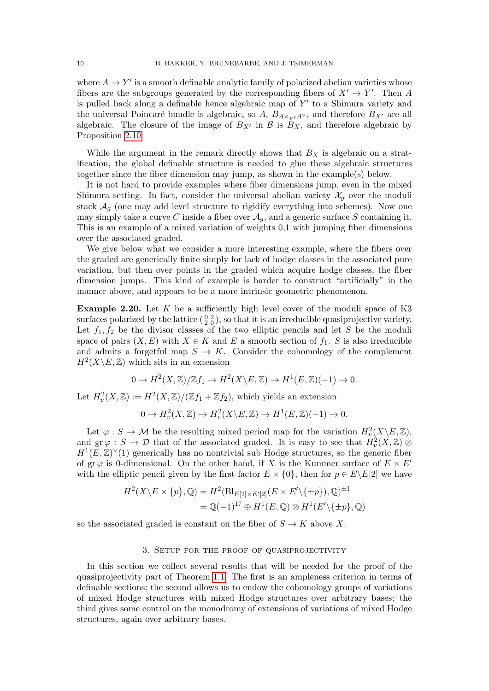where  $A \to Y'$  is a smooth definable analytic family of polarized abelian varieties whose fibers are the subgroups generated by the corresponding fibers of  $X' \to Y'$ . Then A is pulled back along a definable hence algebraic map of  $Y'$  to a Shimura variety and the universal Poincaré bundle is algebraic, so A,  $B_{A\times_{Y'}A^{\vee}}$ , and therefore  $B_{X'}$  are all algebraic. The closure of the image of  $B_{X'}$  in B is  $B_X$ , and therefore algebraic by Proposition [2.10.](#page-6-2)

While the argument in the remark directly shows that  $B_X$  is algebraic on a stratification, the global definable structure is needed to glue these algebraic structures together since the fiber dimension may jump, as shown in the example(s) below.

It is not hard to provide examples where fiber dimensions jump, even in the mixed Shimura setting. In fact, consider the universal abelian variety  $\mathcal{X}_q$  over the moduli stack  $\mathcal{A}_g$  (one may add level structure to rigidify everything into schemes). Now one may simply take a curve C inside a fiber over  $A<sub>g</sub>$ , and a generic surface S containing it. This is an example of a mixed variation of weights 0,1 with jumping fiber dimensions over the associated graded.

We give below what we consider a more interesting example, where the fibers over the graded are generically finite simply for lack of hodge classes in the associated pure variation, but then over points in the graded which acquire hodge classes, the fiber dimension jumps. This kind of example is harder to construct "artificially" in the manner above, and appears to be a more intrinsic geometric phenomenon.

**Example 2.20.** Let  $K$  be a sufficiently high level cover of the moduli space of K3 surfaces polarized by the lattice  $(\begin{smallmatrix} 0 & 2 \\ 2 & 0 \end{smallmatrix})$ , so that it is an irreducible quasiprojective variety. Let  $f_1, f_2$  be the divisor classes of the two elliptic pencils and let S be the moduli space of pairs  $(X, E)$  with  $X \in K$  and E a smooth section of  $f_1$ . S is also irreducible and admits a forgetful map  $S \to K$ . Consider the cohomology of the complement  $H^2(X\backslash E, \mathbb{Z})$  which sits in an extension

$$
0 \to H^2(X,\mathbb{Z})/\mathbb{Z}f_1 \to H^2(X \backslash E,\mathbb{Z}) \to H^1(E,\mathbb{Z})(-1) \to 0.
$$

Let  $H^2_v(X,\mathbb{Z}) := H^2(X,\mathbb{Z})/(\mathbb{Z}f_1 + \mathbb{Z}f_2)$ , which yields an extension

$$
0 \to H^2_v(X, \mathbb{Z}) \to H^2_v(X \backslash E, \mathbb{Z}) \to H^1(E, \mathbb{Z})(-1) \to 0.
$$

Let  $\varphi: S \to M$  be the resulting mixed period map for the variation  $H^2_v(X \backslash E, \mathbb{Z})$ , and  $\text{gr}\,\varphi\,:\,S\,\to\,\mathcal{D}$  that of the associated graded. It is easy to see that  $H_v^2(X,\mathbb{Z})\otimes$  $H^1(E,\mathbb{Z})^{\vee}(1)$  generically has no nontrivial sub Hodge structures, so the generic fiber of gr $\varphi$  is 0-dimensional. On the other hand, if X is the Kummer surface of  $E \times E^{0}$ with the elliptic pencil given by the first factor  $E \times \{0\}$ , then for  $p \in E\backslash E[2]$  we have

$$
H^2(X \setminus E \times \{p\}, \mathbb{Q}) = H^2(\text{Bl}_{E[2] \times E'[2]}(E \times E' \setminus \{\pm p\}), \mathbb{Q})^{\pm 1}
$$
  
=  $\mathbb{Q}(-1)^{17} \oplus H^1(E, \mathbb{Q}) \otimes H^1(E' \setminus \{\pm p\}, \mathbb{Q})$ 

so the associated graded is constant on the fiber of  $S \to K$  above X.

#### 3. Setup for the proof of quasiprojectivity

<span id="page-9-0"></span>In this section we collect several results that will be needed for the proof of the quasiprojectivity part of Theorem [1.1.](#page-0-1) The first is an ampleness criterion in terms of definable sections; the second allows us to endow the cohomology groups of variations of mixed Hodge structures with mixed Hodge structures over arbitrary bases; the third gives some control on the monodromy of extensions of variations of mixed Hodge structures, again over arbitrary bases.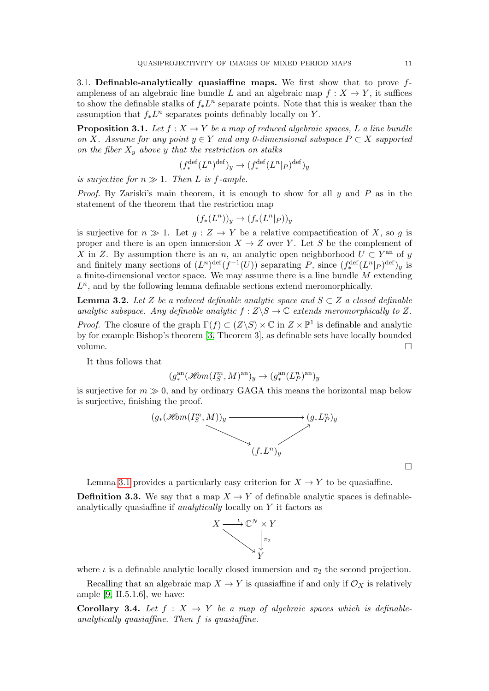3.1. Definable-analytically quasiaffine maps. We first show that to prove  $f$ ampleness of an algebraic line bundle L and an algebraic map  $f: X \to Y$ , it suffices to show the definable stalks of  $f_*L^n$  separate points. Note that this is weaker than the assumption that  $f_*L^n$  separates points definably locally on Y.

<span id="page-10-0"></span>**Proposition 3.1.** Let  $f: X \to Y$  be a map of reduced algebraic spaces, L a line bundle on X. Assume for any point  $y \in Y$  and any 0-dimensional subspace  $P \subset X$  supported on the fiber  $X_y$  above y that the restriction on stalks

$$
(f_*^{\text{def}}(L^n)^{\text{def}})_y \to (f_*^{\text{def}}(L^n|_P)^{\text{def}})_y
$$

is surjective for  $n \gg 1$ . Then L is f-ample.

*Proof.* By Zariski's main theorem, it is enough to show for all  $u$  and  $P$  as in the statement of the theorem that the restriction map

$$
(f_*(L^n))_y \to (f_*(L^n|_P))_y
$$

is surjective for  $n \gg 1$ . Let  $q : Z \to Y$  be a relative compactification of X, so q is proper and there is an open immersion  $X \to Z$  over Y. Let S be the complement of X in Z. By assumption there is an n, an analytic open neighborhood  $U \subset Y^{\text{an}}$  of y and finitely many sections of  $(L^n)^{\text{def}}(f^{-1}(U))$  separating P, since  $(f_*^{\text{def}}(L^n|_P)^{\text{def}})_y$  is a finite-dimensional vector space. We may assume there is a line bundle M extending  $L<sup>n</sup>$ , and by the following lemma definable sections extend meromorphically.

**Lemma 3.2.** Let Z be a reduced definable analytic space and  $S \subset Z$  a closed definable analytic subspace. Any definable analytic  $f: Z \backslash S \to \mathbb{C}$  extends meromorphically to Z. *Proof.* The closure of the graph  $\Gamma(f) \subset (Z \backslash S) \times \mathbb{C}$  in  $Z \times \mathbb{P}^1$  is definable and analytic by for example Bishop's theorem [\[3,](#page-18-6) Theorem 3], as definable sets have locally bounded volume.

It thus follows that

$$
(g^{\mathrm{an}}_*(\mathscr{H}\!\mathit{om}(I^m_S,M)^{\mathrm{an}})_y\rightarrow (g^{\mathrm{an}}_*(L^n_P)^{\mathrm{an}})_y
$$

is surjective for  $m \gg 0$ , and by ordinary GAGA this means the horizontal map below is surjective, finishing the proof.



 $\Box$ 

Lemma [3.1](#page-10-0) provides a particularly easy criterion for  $X \to Y$  to be quasiaffine.

**Definition 3.3.** We say that a map  $X \to Y$  of definable analytic spaces is definableanalytically quasiaffine if analytically locally on Y it factors as



where  $\iota$  is a definable analytic locally closed immersion and  $\pi_2$  the second projection.

Recalling that an algebraic map  $X \to Y$  is quasiaffine if and only if  $\mathcal{O}_X$  is relatively ample  $[9, II.5.1.6]$ , we have:

<span id="page-10-1"></span>**Corollary 3.4.** Let  $f : X \rightarrow Y$  be a map of algebraic spaces which is definableanalytically quasiaffine. Then f is quasiaffine.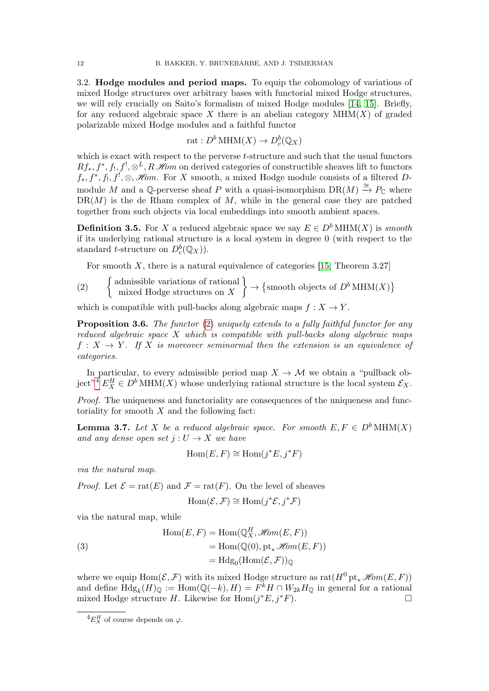3.2. Hodge modules and period maps. To equip the cohomology of variations of mixed Hodge structures over arbitrary bases with functorial mixed Hodge structures, we will rely crucially on Saito's formalism of mixed Hodge modules [\[14,](#page-18-12) [15\]](#page-18-13). Briefly, for any reduced algebraic space X there is an abelian category  $MHM(X)$  of graded polarizable mixed Hodge modules and a faithful functor

rat : 
$$
D^b
$$
 MHM $(X) \to D^b_c(\mathbb{Q}_X)$ 

which is exact with respect to the perverse  $t$ -structure and such that the usual functors  $Rf_*, f^*, f_!, f^!, \mathcal{S}^L, R\mathcal{H}\!{\it om}$  on derived categories of constructible sheaves lift to functors  $f_*, f^*, f_!, f^!, \mathcal{S}, \mathcal{H}\!\!\mathit{om}.$  For X smooth, a mixed Hodge module consists of a filtered Dmodule M and a Q-perverse sheaf P with a quasi-isomorphism  $DR(M) \stackrel{\cong}{\rightarrow} P_{\mathbb{C}}$  where  $DR(M)$  is the de Rham complex of M, while in the general case they are patched together from such objects via local embeddings into smooth ambient spaces.

**Definition 3.5.** For X a reduced algebraic space we say  $E \in D^b$  MHM(X) is smooth if its underlying rational structure is a local system in degree 0 (with respect to the standard *t*-structure on  $D_c^b(\mathbb{Q}_X)$ .

<span id="page-11-0"></span>For smooth  $X$ , there is a natural equivalence of categories [\[15,](#page-18-13) Theorem 3.27]

(2) {admissible variations of rational   
mixed Hodge structures on 
$$
X
$$
}  $\rightarrow$  {smooth objects of  $D^b$  MHM $(X)$ }

which is compatible with pull-backs along algebraic maps  $f: X \to Y$ .

<span id="page-11-2"></span>**Proposition 3.6.** The functor [\(2\)](#page-11-0) uniquely extends to a fully faithful functor for any reduced algebraic space X which is compatible with pull-backs along algebraic maps  $f: X \to Y$ . If X is moreover seminormal then the extension is an equivalence of categories.

In particular, to every admissible period map  $X \to \mathcal{M}$  we obtain a "pullback ob-ject"<sup>[4](#page-11-1)</sup>  $E_X^H \in D^b$  MHM(X) whose underlying rational structure is the local system  $\mathcal{E}_X$ .

Proof. The uniqueness and functoriality are consequences of the uniqueness and functoriality for smooth  $X$  and the following fact:

<span id="page-11-3"></span>**Lemma 3.7.** Let X be a reduced algebraic space. For smooth  $E, F \in D^b \text{MHM}(X)$ and any dense open set  $j: U \to X$  we have

$$
\operatorname{Hom}(E, F) \cong \operatorname{Hom}(j^*E, j^*F)
$$

via the natural map.

*Proof.* Let  $\mathcal{E} = \text{rat}(E)$  and  $\mathcal{F} = \text{rat}(F)$ . On the level of sheaves

$$
\operatorname{Hom}(\mathcal{E}, \mathcal{F}) \cong \operatorname{Hom}(j^*\mathcal{E}, j^*\mathcal{F})
$$

via the natural map, while

(3)  
\n
$$
\text{Hom}(E, F) = \text{Hom}(\mathbb{Q}_X^H, \mathcal{H}om(E, F))
$$
\n
$$
= \text{Hom}(\mathbb{Q}(0), \text{pt}_* \mathcal{H}om(E, F))
$$
\n
$$
= \text{Hdg}_0(\text{Hom}(\mathcal{E}, \mathcal{F}))_{\mathbb{Q}}
$$

where we equip  $\text{Hom}(\mathcal{E}, \mathcal{F})$  with its mixed Hodge structure as  $\text{rat}(H^0 \text{ pt}_* \mathcal{H}om(E, F))$ and define  $\text{Hdg}_k(H)_{\mathbb{Q}} := \text{Hom}(\mathbb{Q}(-k), H) = F^k H \cap W_{2k} H_{\mathbb{Q}}$  in general for a rational mixed Hodge structure H. Likewise for  $\text{Hom}(j^*E, j^*F)$ .

<span id="page-11-1"></span> ${}^4E^H_X$  of course depends on  $\varphi$ .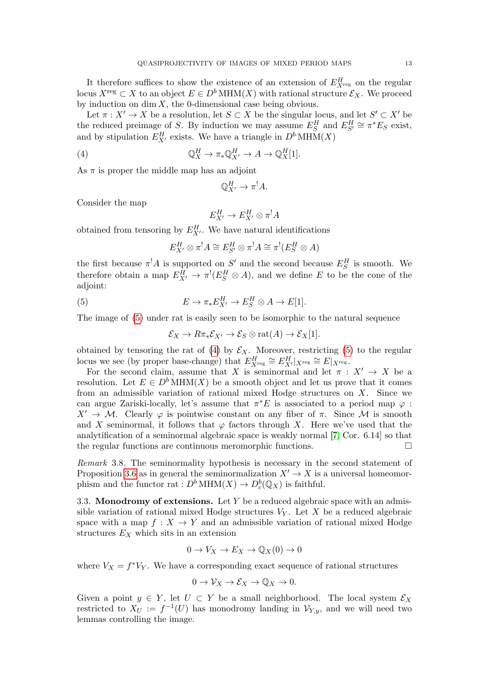It therefore suffices to show the existence of an extension of  $E_{X_{\text{reg}}}^H$  on the regular locus  $X^{\text{reg}} \subset X$  to an object  $E \in D^b$  MHM(X) with rational structure  $\mathcal{E}_X$ . We proceed by induction on  $\dim X$ , the 0-dimensional case being obvious.

Let  $\pi: X' \to X$  be a resolution, let  $S \subset X$  be the singular locus, and let  $S' \subset X'$  be the reduced preimage of S. By induction we may assume  $E_S^H$  and  $E_{S'}^H \cong \pi^*E_S$  exist, and by stipulation  $E_{X'}^H$  exists. We have a triangle in  $D^b$  MHM(X)

(4) 
$$
\mathbb{Q}_X^H \to \pi_* \mathbb{Q}_{X'}^H \to A \to \mathbb{Q}_X^H[1].
$$

As  $\pi$  is proper the middle map has an adjoint

<span id="page-12-1"></span><span id="page-12-0"></span>
$$
\mathbb{Q}_{X'}^H \to \pi^! A.
$$

Consider the map

$$
E_{X'}^H \to E_{X'}^H \otimes \pi^! A
$$

obtained from tensoring by  $E_{X'}^H$ . We have natural identifications

$$
E_{X'}^H \otimes \pi^! A \cong E_{S'}^H \otimes \pi^! A \cong \pi^! (E_S^H \otimes A)
$$

the first because  $\pi^!A$  is supported on S' and the second because  $E_S^H$  is smooth. We therefore obtain a map  $E_{X'}^H \to \pi^!(E_S^H \otimes A)$ , and we define E to be the cone of the adjoint:

(5) 
$$
E \to \pi_* E^H_{X'} \to E^H_S \otimes A \to E[1].
$$

The image of [\(5\)](#page-12-0) under rat is easily seen to be isomorphic to the natural sequence

$$
\mathcal{E}_X \to R\pi_* \mathcal{E}_{X'} \to \mathcal{E}_S \otimes \text{rat}(A) \to \mathcal{E}_X[1].
$$

obtained by tensoring the rat of [\(4\)](#page-12-1) by  $\mathcal{E}_X$ . Moreover, restricting [\(5\)](#page-12-0) to the regular locus we see (by proper base-change) that  $E_{X^{\text{reg}}}^H \cong E_{X'}^H|_{X^{\text{reg}}} \cong E|_{X^{\text{reg}}}$ .

For the second claim, assume that X is seminormal and let  $\pi : X' \to X$  be a resolution. Let  $E \in D^b \text{MHM}(X)$  be a smooth object and let us prove that it comes from an admissible variation of rational mixed Hodge structures on  $X$ . Since we can argue Zariski-locally, let's assume that  $\pi^*E$  is associated to a period map  $\varphi$ :  $X' \to M$ . Clearly  $\varphi$  is pointwise constant on any fiber of  $\pi$ . Since M is smooth and X seminormal, it follows that  $\varphi$  factors through X. Here we've used that the analytification of a seminormal algebraic space is weakly normal [\[7,](#page-18-14) Cor. 6.14] so that the regular functions are continuous meromorphic functions.

Remark 3.8. The seminormality hypothesis is necessary in the second statement of Proposition [3.6](#page-11-2) as in general the seminormalization  $X' \to X$  is a universal homeomorphism and the functor rat :  $D^b \text{MHM}(X) \to D^b_c(\mathbb{Q}_X)$  is faithful.

3.3. Monodromy of extensions. Let Y be a reduced algebraic space with an admissible variation of rational mixed Hodge structures  $V_Y$ . Let X be a reduced algebraic space with a map  $f: X \to Y$  and an admissible variation of rational mixed Hodge structures  $E_X$  which sits in an extension

$$
0 \to V_X \to E_X \to \mathbb{Q}_X(0) \to 0
$$

where  $V_X = f^*V_Y$ . We have a corresponding exact sequence of rational structures

$$
0 \to \mathcal{V}_X \to \mathcal{E}_X \to \mathbb{Q}_X \to 0.
$$

Given a point  $y \in Y$ , let  $U \subset Y$  be a small neighborhood. The local system  $\mathcal{E}_X$ restricted to  $X_U := f^{-1}(U)$  has monodromy landing in  $\mathcal{V}_{Y,y}$ , and we will need two lemmas controlling the image.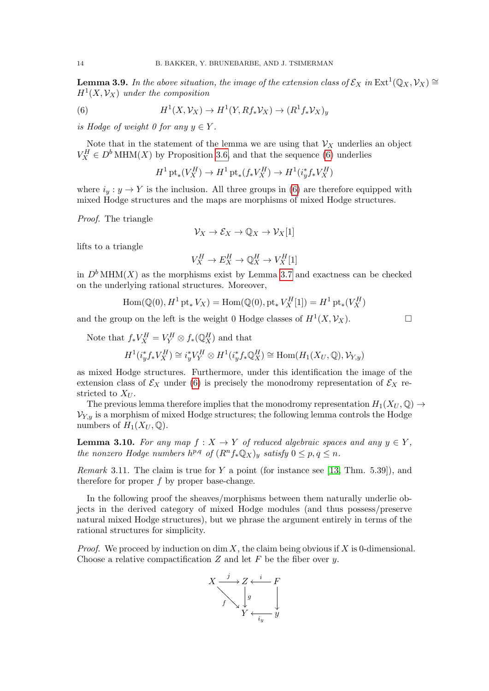<span id="page-13-2"></span>**Lemma 3.9.** In the above situation, the image of the extension class of  $\mathcal{E}_X$  in  $\text{Ext}^1(\mathbb{Q}_X, \mathcal{V}_X) \cong$  $H<sup>1</sup>(X, V_X)$  under the composition

(6) 
$$
H^1(X, \mathcal{V}_X) \to H^1(Y, Rf_*\mathcal{V}_X) \to (R^1f_*\mathcal{V}_X)_y
$$

is Hodge of weight 0 for any  $y \in Y$ .

Note that in the statement of the lemma we are using that  $\mathcal{V}_X$  underlies an object  $V_X^H \in D^b \text{MHM}(X)$  by Proposition [3.6,](#page-11-2) and that the sequence [\(6\)](#page-13-0) underlies

<span id="page-13-0"></span>
$$
H^1\operatorname{pt}_*(V_X^H)\to H^1\operatorname{pt}_*(f_*V_X^H)\to H^1(i_y^*f_*V_X^H)
$$

where  $i_y : y \to Y$  is the inclusion. All three groups in [\(6\)](#page-13-0) are therefore equipped with mixed Hodge structures and the maps are morphisms of mixed Hodge structures.

Proof. The triangle

$$
\mathcal{V}_X \to \mathcal{E}_X \to \mathbb{Q}_X \to \mathcal{V}_X[1]
$$

lifts to a triangle

$$
V_X^H \to E_X^H \to \mathbb{Q}_X^H \to V_X^H[1]
$$

in  $D<sup>b</sup> MHM(X)$  as the morphisms exist by Lemma [3.7](#page-11-3) and exactness can be checked on the underlying rational structures. Moreover,

$$
\operatorname{Hom}(\mathbb{Q}(0), H^1\operatorname{pt}_*V_X)=\operatorname{Hom}(\mathbb{Q}(0), \operatorname{pt}_*V_X^H[1])=H^1\operatorname{pt}_*(V_X^H)
$$

and the group on the left is the weight 0 Hodge classes of  $H^1(X, \mathcal{V}_X)$ .

Note that  $f_* V_X^H = V_Y^H \otimes f_* (\mathbb{Q}_X^H)$  and that  $H^1(i_y^* f_* V_X^H) \cong i_y^* V_Y^H \otimes H^1(i_y^* f_* \mathbb{Q}_X^H) \cong \text{Hom}(H_1(X_U, \mathbb{Q}), \mathcal{V}_{Y,y})$ 

as mixed Hodge structures. Furthermore, under this identification the image of the extension class of  $\mathcal{E}_X$  under [\(6\)](#page-13-0) is precisely the monodromy representation of  $\mathcal{E}_X$  restricted to  $X_{U}$ .

The previous lemma therefore implies that the monodromy representation  $H_1(X_U, \mathbb{Q}) \rightarrow$  $V_{Y,y}$  is a morphism of mixed Hodge structures; the following lemma controls the Hodge numbers of  $H_1(X_U, \mathbb{Q})$ .

<span id="page-13-3"></span>**Lemma 3.10.** For any map  $f: X \to Y$  of reduced algebraic spaces and any  $y \in Y$ , the nonzero Hodge numbers  $h^{p,q}$  of  $(R^nf_*\mathbb{Q}_X)_y$  satisfy  $0 \leq p, q \leq n$ .

<span id="page-13-1"></span>Remark 3.11. The claim is true for  $Y$  a point (for instance see [\[13,](#page-18-15) Thm. 5.39]), and therefore for proper  $f$  by proper base-change.

In the following proof the sheaves/morphisms between them naturally underlie objects in the derived category of mixed Hodge modules (and thus possess/preserve natural mixed Hodge structures), but we phrase the argument entirely in terms of the rational structures for simplicity.

*Proof.* We proceed by induction on dim X, the claim being obvious if X is 0-dimensional. Choose a relative compactification  $Z$  and let  $F$  be the fiber over  $y$ .

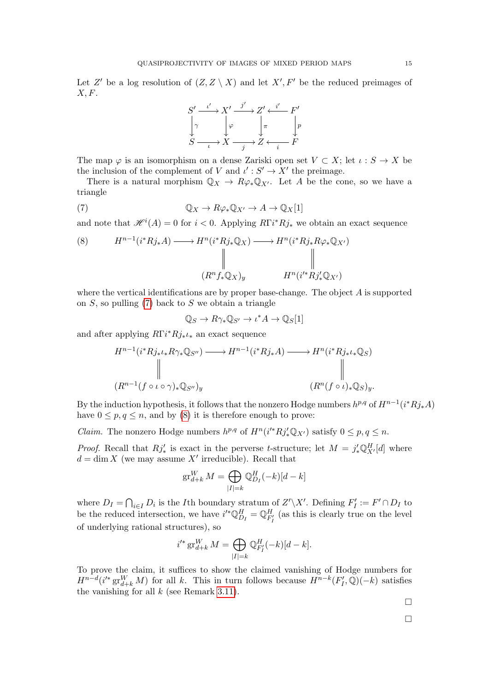Let Z' be a log resolution of  $(Z, Z \setminus X)$  and let  $X', F'$  be the reduced preimages of  $X, F$ .

<span id="page-14-0"></span>

The map  $\varphi$  is an isomorphism on a dense Zariski open set  $V \subset X$ ; let  $\iota : S \to X$  be the inclusion of the complement of V and  $\iota': S' \to X'$  the preimage.

There is a natural morphism  $\mathbb{Q}_X \to R\varphi_*\mathbb{Q}_{X'}$ . Let A be the cone, so we have a triangle

(7) 
$$
\mathbb{Q}_X \to R\varphi_*\mathbb{Q}_{X'} \to A \to \mathbb{Q}_X[1]
$$

and note that  $\mathscr{H}^i(A) = 0$  for  $i < 0$ . Applying  $R\Gamma i^* R j_*$  we obtain an exact sequence

<span id="page-14-1"></span>(8) 
$$
H^{n-1}(i^*Rj_*A) \longrightarrow H^n(i^*Rj_*\mathbb{Q}_X) \longrightarrow H^n(i^*Rj_*R\varphi_*\mathbb{Q}_{X'})
$$

$$
\parallel \qquad \qquad \parallel \qquad \qquad \parallel
$$

$$
(R^n f_*\mathbb{Q}_X)_y \qquad H^n(i'^*Rj'_*\mathbb{Q}_{X'})
$$

where the vertical identifications are by proper base-change. The object  $A$  is supported on  $S$ , so pulling  $(7)$  back to  $S$  we obtain a triangle

$$
\mathbb{Q}_S \to R\gamma_* \mathbb{Q}_{S'} \to \iota^* A \to \mathbb{Q}_S[1]
$$

and after applying  $R\Gamma i^* R j_* \iota_*$  an exact sequence

$$
H^{n-1}(i^*Rj_*\iota_*R\gamma_*\mathbb{Q}_{S''}) \longrightarrow H^{n-1}(i^*Rj_*A) \longrightarrow H^n(i^*Rj_*\iota_*\mathbb{Q}_S)
$$
  
\n
$$
\parallel \qquad \qquad \parallel
$$
  
\n
$$
(R^{n-1}(f \circ \iota \circ \gamma)_*\mathbb{Q}_{S''})_y \qquad (R^n(f \circ \iota)_*\mathbb{Q}_S)_y.
$$

By the induction hypothesis, it follows that the nonzero Hodge numbers  $h^{p,q}$  of  $H^{n-1}(i^*Rj_*A)$ have  $0 \leq p, q \leq n$ , and by [\(8\)](#page-14-1) it is therefore enough to prove:

*Claim.* The nonzero Hodge numbers  $h^{p,q}$  of  $H^n(i'^*Rj'_*\mathbb{Q}_{X'})$  satisfy  $0 \leq p, q \leq n$ .

*Proof.* Recall that  $Rj'_{*}$  is exact in the perverse t-structure; let  $M = j'_{*} \mathbb{Q}_{X'}^{H}[d]$  where  $d = \dim X$  (we may assume X' irreducible). Recall that

$$
\operatorname{gr}_{d+k}^W M = \bigoplus_{|I|=k} \mathbb{Q}_{D_I}^H (-k)[d-k]
$$

where  $D_I = \bigcap_{i \in I} D_i$  is the *I*<sup>th</sup> boundary stratum of  $Z' \setminus X'$ . Defining  $F'_I := F' \cap D_I$  to be the reduced intersection, we have  $i'^* \mathbb{Q}_{D_I}^H = \mathbb{Q}_{F'_I}^H$  (as this is clearly true on the level of underlying rational structures), so

$$
i'^* \operatorname{gr}_{d+k}^W M = \bigoplus_{|I|=k} \mathbb{Q}_{F'_I}^H(-k)[d-k].
$$

To prove the claim, it suffices to show the claimed vanishing of Hodge numbers for  $H^{n-d}(i'^* \operatorname{gr}^W_{d+k} M)$  for all k. This in turn follows because  $H^{n-k}(F'_I, \overline{\mathbb{Q}})(-k)$  satisfies the vanishing for all  $k$  (see Remark [3.11\)](#page-13-1).

 $\Box$ 

 $\Box$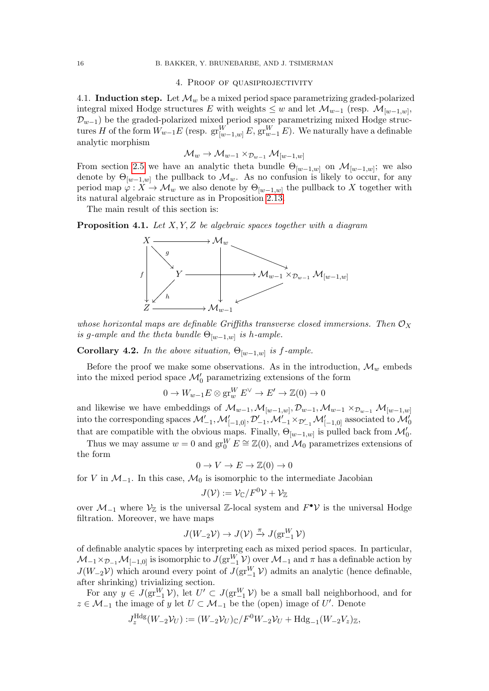### 4. Proof of quasiprojectivity

<span id="page-15-0"></span>4.1. Induction step. Let  $\mathcal{M}_w$  be a mixed period space parametrizing graded-polarized integral mixed Hodge structures E with weights  $\leq w$  and let  $\mathcal{M}_{w-1}$  (resp.  $\mathcal{M}_{[w-1,w]}$ ,  $\mathcal{D}_{w-1}$ ) be the graded-polarized mixed period space parametrizing mixed Hodge structures H of the form  $W_{w-1}E$  (resp.  $\operatorname{gr}^W_{[w-1,w]}E, \operatorname{gr}^W_{w-1}E$ ). We naturally have a definable analytic morphism

$$
\mathcal{M}_w\to \mathcal{M}_{w-1}\times_{\mathcal{D}_{w-1}}\mathcal{M}_{[w-1,w]}
$$

From section [2.5](#page-6-1) we have an analytic theta bundle  $\Theta_{[w-1,w]}$  on  $\mathcal{M}_{[w-1,w]}$ ; we also denote by  $\Theta_{[w-1,w]}$  the pullback to  $\mathcal{M}_w$ . As no confusion is likely to occur, for any period map  $\varphi: X \to \mathcal{M}_w$  we also denote by  $\Theta_{[w-1,w]}$  the pullback to X together with its natural algebraic structure as in Proposition [2.13.](#page-7-0)

The main result of this section is:

<span id="page-15-1"></span>**Proposition 4.1.** Let  $X, Y, Z$  be algebraic spaces together with a diagram



whose horizontal maps are definable Griffiths transverse closed immersions. Then  $\mathcal{O}_X$ is g-ample and the theta bundle  $\Theta_{[w-1,w]}$  is h-ample.

<span id="page-15-2"></span>**Corollary 4.2.** In the above situation,  $\Theta_{[w-1,w]}$  is f-ample.

Before the proof we make some observations. As in the introduction,  $\mathcal{M}_w$  embeds into the mixed period space  $\mathcal{M}'_0$  parametrizing extensions of the form

$$
0 \to W_{w-1}E \otimes \operatorname{gr}^W_w E^\vee \to E' \to \mathbb{Z}(0) \to 0
$$

and likewise we have embeddings of  $\mathcal{M}_{w-1}, \mathcal{M}_{[w-1,w]}, \mathcal{D}_{w-1}, \mathcal{M}_{w-1} \times_{\mathcal{D}_{w-1}} \mathcal{M}_{[w-1,w]}$ into the corresponding spaces  $\mathcal{M}_{-1}', \mathcal{M}_{[-1,0]}', \mathcal{D}_{-1}', \mathcal{M}_{-1}' \times_{\mathcal{D}_{-1}'} \mathcal{M}_{[-1,0]}'$  associated to  $\mathcal{M}_{0}'$ that are compatible with the obvious maps. Finally,  $\Theta_{[w-1,w]}$  is pulled back from  $\mathcal{M}'_0$ .

Thus we may assume  $w = 0$  and  $\operatorname{gr}^W_0 E \cong \mathbb{Z}(0)$ , and  $\mathcal{M}_0$  parametrizes extensions of the form

$$
0 \to V \to E \to \mathbb{Z}(0) \to 0
$$

for V in  $\mathcal{M}_{-1}$ . In this case,  $\mathcal{M}_0$  is isomorphic to the intermediate Jacobian

$$
J(\mathcal{V}) := \mathcal{V}_{\mathbb{C}} / F^0 \mathcal{V} + \mathcal{V}_{\mathbb{Z}}
$$

over  $\mathcal{M}_{-1}$  where  $\mathcal{V}_{\mathbb{Z}}$  is the universal  $\mathbb{Z}$ -local system and  $F^{\bullet} \mathcal{V}$  is the universal Hodge filtration. Moreover, we have maps

$$
J(W_{-2}\mathcal{V}) \to J(\mathcal{V}) \xrightarrow{\pi} J(\operatorname{gr}_{-1}^W \mathcal{V})
$$

of definable analytic spaces by interpreting each as mixed period spaces. In particular,  $M_{-1} \times_{\mathcal{D}_{-1}} M_{[-1,0]}$  is isomorphic to  $J(\text{gr}^W_{-1} \mathcal{V})$  over  $\mathcal{M}_{-1}$  and  $\pi$  has a definable action by  $J(W_{-2}V)$  which around every point of  $J(\text{gr}^W_{-1}V)$  admits an analytic (hence definable, after shrinking) trivializing section.

For any  $y \in J(\text{gr}^W_{-1}\mathcal{V})$ , let  $U' \subset J(\text{gr}^W_{-1}\mathcal{V})$  be a small ball neighborhood, and for  $z \in \mathcal{M}_{-1}$  the image of y let  $U \subset \mathcal{M}_{-1}$  be the (open) image of U'. Denote

$$
J_z^{\text{Hdg}}(W_{-2}\mathcal{V}_U) := (W_{-2}\mathcal{V}_U)_{\text{C}} / F^0 W_{-2} \mathcal{V}_U + \text{Hdg}_{-1}(W_{-2}\mathcal{V}_z)_{\mathbb{Z}},
$$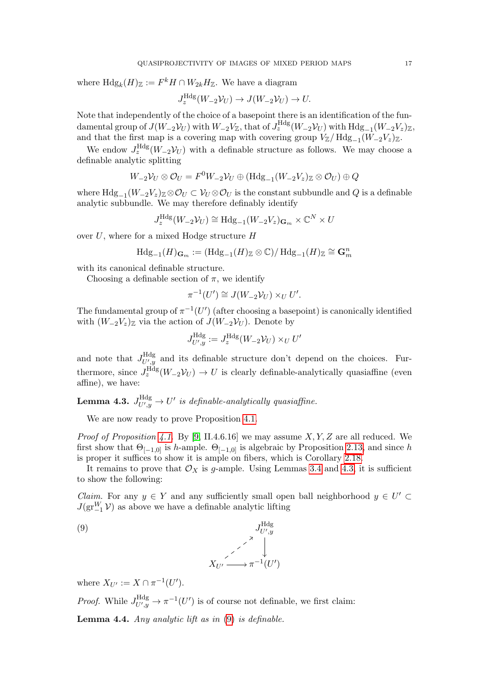where  $Hdg_k(H)_{\mathbb{Z}} := F^k H \cap W_{2k}H_{\mathbb{Z}}$ . We have a diagram

$$
J_z^{\text{Hdg}}(W_{-2}\mathcal{V}_U) \to J(W_{-2}\mathcal{V}_U) \to U.
$$

Note that independently of the choice of a basepoint there is an identification of the fundamental group of  $J(W_{-2} \mathcal{V}_U)$  with  $W_{-2} V_{\mathbb{Z}}$ , that of  $J_z^{\text{Hdg}}(W_{-2} \mathcal{V}_U)$  with  $\text{Hdg}_{-1}(W_{-2} V_z)_{\mathbb{Z}}$ , and that the first map is a covering map with covering group  $V_{\mathbb{Z}}/\mathrm{Hdg}_{-1}(W_{-2}V_z)_{\mathbb{Z}}$ .

We endow  $J_z^{\text{Hdg}}(W_{-2}\mathcal{V}_U)$  with a definable structure as follows. We may choose a definable analytic splitting

$$
W_{-2} \mathcal{V}_U \otimes \mathcal{O}_U = F^0 W_{-2} \mathcal{V}_U \oplus (\text{Hdg}_{-1}(W_{-2} V_z)_{\mathbb{Z}} \otimes \mathcal{O}_U) \oplus Q
$$

where  $Hdg_{-1}(W_{-2}V_z)_\mathbb{Z}\otimes\mathcal{O}_U\subset\mathcal{V}_U\otimes\mathcal{O}_U$  is the constant subbundle and  $Q$  is a definable analytic subbundle. We may therefore definably identify

$$
J_z^{\mathrm{Hdg}}(W_{-2}\mathcal{V}_U) \cong \mathrm{Hdg}_{-1}(W_{-2}V_z)_{\mathbf{G}_m} \times \mathbb{C}^N \times U
$$

over  $U$ , where for a mixed Hodge structure  $H$ 

$$
\mathrm{Hdg}_{-1}(H)_{\mathbf{G}_m}:=(\mathrm{Hdg}_{-1}(H)_\mathbb{Z} \otimes \mathbb{C})/\,\mathrm{Hdg}_{-1}(H)_\mathbb{Z} \cong \mathbf{G}_m^n
$$

with its canonical definable structure.

Choosing a definable section of  $\pi$ , we identify

$$
\pi^{-1}(U') \cong J(W_{-2}\mathcal{V}_U) \times_U U'.
$$

The fundamental group of  $\pi^{-1}(U')$  (after choosing a basepoint) is canonically identified with  $(W_{-2}V_z)_\mathbb{Z}$  via the action of  $J(W_{-2}V_U)$ . Denote by

$$
J_{U',y}^{\mathrm{Hdg}} := J_z^{\mathrm{Hdg}}(W_{-2}\mathcal{V}_U) \times_U U'
$$

and note that  $J_{U'u}^{\text{Hdg}}$  $U_{y}^{\text{Hdg}}$  and its definable structure don't depend on the choices. Furthermore, since  $J_z^{\text{Hdg}}(W_{-2}\mathcal{V}_U) \to U$  is clearly definable-analytically quasiaffine (even affine), we have:

<span id="page-16-0"></span>Lemma 4.3.  $J_{UV}^{\text{Hdg}}$  $U'_{U',y} \rightarrow U'$  is definable-analytically quasiaffine.

We are now ready to prove Proposition [4.1.](#page-15-1)

*Proof of Proposition [4.1.](#page-15-1)* By [\[9,](#page-18-11) II.4.6.16] we may assume  $X, Y, Z$  are all reduced. We first show that  $\Theta_{[-1,0]}$  is h-ample.  $\Theta_{[-1,0]}$  is algebraic by Proposition [2.13,](#page-7-0) and since h is proper it suffices to show it is ample on fibers, which is Corollary [2.18.](#page-8-1)

It remains to prove that  $\mathcal{O}_X$  is g-ample. Using Lemmas [3.4](#page-10-1) and [4.3,](#page-16-0) it is sufficient to show the following:

*Claim.* For any  $y \in Y$  and any sufficiently small open ball neighborhood  $y \in U'$  $J(\text{gr}^W_{-1}\mathcal{V})$  as above we have a definable analytic lifting

<span id="page-16-1"></span>

where  $X_{U'} := X \cap \pi^{-1}(U')$ .

*Proof.* While  $J_{UU}^{\text{Hdg}}$  $U'_{U',y}$   $\rightarrow \pi^{-1}(U')$  is of course not definable, we first claim:

**Lemma 4.4.** Any analytic lift as in  $(9)$  is definable.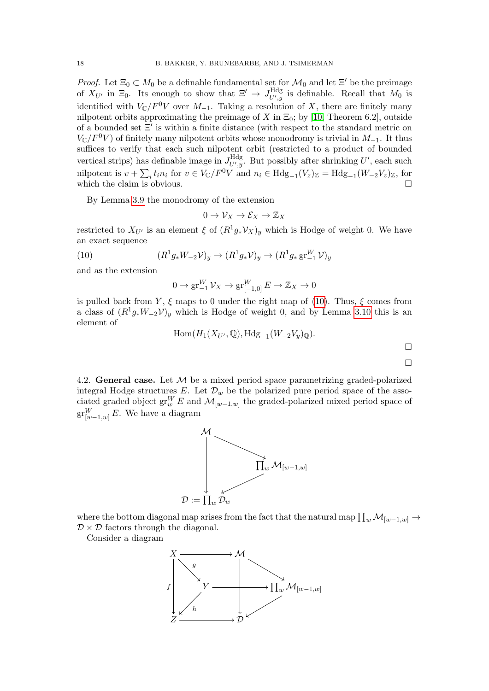*Proof.* Let  $\Xi_0 \subset M_0$  be a definable fundamental set for  $\mathcal{M}_0$  and let  $\Xi'$  be the preimage of  $X_{U'}$  in  $\Xi_0$ . Its enough to show that  $\Xi' \to J_{U',v}^{\text{Hdg}}$  $U'_{U',y}$  is definable. Recall that  $M_0$  is identified with  $V_{\mathbb{C}}/F^0V$  over  $M_{-1}$ . Taking a resolution of X, there are finitely many nilpotent orbits approximating the preimage of X in  $\Xi_0$ ; by [\[10,](#page-18-16) Theorem 6.2], outside of a bounded set  $\Xi'$  is within a finite distance (with respect to the standard metric on  $V_{\mathbb{C}}/F^0V$  of finitely many nilpotent orbits whose monodromy is trivial in  $M_{-1}$ . It thus suffices to verify that each such nilpotent orbit (restricted to a product of bounded vertical strips) has definable image in  $J_{U'u}^{\text{Hdg}}$  $U'_{U',y}$ . But possibly after shrinking U', each such nilpotent is  $v + \sum_i t_i n_i$  for  $v \in V_{\mathbb{C}}/F^0V$  and  $n_i \in Hdg_{-1}(V_z)_{\mathbb{Z}} = Hdg_{-1}(W_{-2}V_z)_{\mathbb{Z}}$ , for which the claim is obvious.  $\Box$ 

By Lemma [3.9](#page-13-2) the monodromy of the extension

$$
0 \to \mathcal{V}_X \to \mathcal{E}_X \to \mathbb{Z}_X
$$

restricted to  $X_{U'}$  is an element  $\xi$  of  $(R^1g_*\mathcal{V}_X)_y$  which is Hodge of weight 0. We have an exact sequence

(10) 
$$
(R^1 g_* W_{-2} \mathcal{V})_y \to (R^1 g_* \mathcal{V})_y \to (R^1 g_* \, \text{gr}_{-1}^W \mathcal{V})_y
$$

and as the extension

<span id="page-17-0"></span>
$$
0 \to \operatorname{gr}_{-1}^W \mathcal{V}_X \to \operatorname{gr}_{[-1,0]}^W E \to \mathbb{Z}_X \to 0
$$

is pulled back from Y,  $\xi$  maps to 0 under the right map of [\(10\)](#page-17-0). Thus,  $\xi$  comes from a class of  $(R^1g_*W_{-2}\mathcal{V})_y$  which is Hodge of weight 0, and by Lemma [3.10](#page-13-3) this is an element of

$$
\mathrm{Hom}(H_1(X_{U'},\mathbb{Q}),\mathrm{Hdg}_{-1}(W_{-2}V_{y})_{\mathbb{Q}}).
$$

4.2. General case. Let  $\mathcal M$  be a mixed period space parametrizing graded-polarized integral Hodge structures E. Let  $\mathcal{D}_w$  be the polarized pure period space of the associated graded object  $\operatorname{gr}^W_w E$  and  $\mathcal{M}_{[w-1,w]}$  the graded-polarized mixed period space of  $\operatorname{gr}^W_{[w-1,w]}E.$  We have a diagram



where the bottom diagonal map arises from the fact that the natural map  $\prod_w {\cal M}_{[w-1,w]} \to$  $\mathcal{D} \times \mathcal{D}$  factors through the diagonal.

Consider a diagram

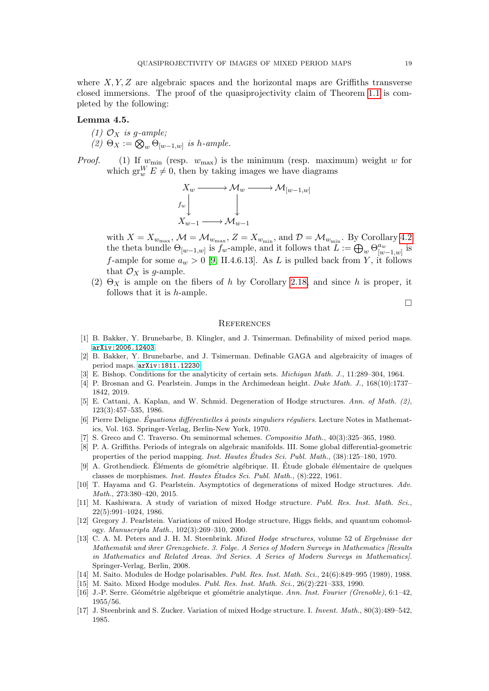where  $X, Y, Z$  are algebraic spaces and the horizontal maps are Griffiths transverse closed immersions. The proof of the quasiprojectivity claim of Theorem [1.1](#page-0-1) is completed by the following:

# Lemma 4.5.

- (1)  $\mathcal{O}_X$  is q-ample;
- (2)  $\Theta_X := \bigotimes_w \Theta_{[w-1,w]}$  is h-ample.
- *Proof.* (1) If  $w_{\text{min}}$  (resp.  $w_{\text{max}}$ ) is the minimum (resp. maximum) weight w for which  $gr_w^W E \neq 0$ , then by taking images we have diagrams



with  $X = X_{w_{\text{max}}}$ ,  $\mathcal{M} = \mathcal{M}_{w_{\text{max}}}$ ,  $Z = X_{w_{\text{min}}}$ , and  $\mathcal{D} = \mathcal{M}_{w_{\text{min}}}$ . By Corollary [4.2](#page-15-2) the theta bundle  $\Theta_{[w-1,w]}$  is  $f_w$ -ample, and it follows that  $L := \bigoplus_w \Theta_{[w]}^{a_w}$  $\int_{[w-1,w]}^{a_w}$  is f-ample for some  $a_w > 0$  [\[9,](#page-18-11) II.4.6.13]. As L is pulled back from Y, it follows that  $\mathcal{O}_X$  is g-ample.

(2)  $\Theta_X$  is ample on the fibers of h by Corollary [2.18,](#page-8-1) and since h is proper, it follows that it is h-ample.

 $\Box$ 

#### **REFERENCES**

- <span id="page-18-1"></span>[1] B. Bakker, Y. Brunebarbe, B. Klingler, and J. Tsimerman. Definability of mixed period maps. [arXiv:2006.12403](http://arxiv.org/abs/2006.12403).
- <span id="page-18-0"></span>[2] B. Bakker, Y. Brunebarbe, and J. Tsimerman. Definable GAGA and algebraicity of images of period maps. [arXiv:1811.12230](http://arxiv.org/abs/1811.12230).
- <span id="page-18-6"></span>[3] E. Bishop. Conditions for the analyticity of certain sets. *Michigan Math. J.*, 11:289–304, 1964.
- <span id="page-18-2"></span>[4] P. Brosnan and G. Pearlstein. Jumps in the Archimedean height. Duke Math. J., 168(10):1737– 1842, 2019.
- <span id="page-18-7"></span>[5] E. Cattani, A. Kaplan, and W. Schmid. Degeneration of Hodge structures. Ann. of Math. (2), 123(3):457–535, 1986.
- <span id="page-18-8"></span>[6] Pierre Deligne. *Équations différentielles à points singuliers réquliers*. Lecture Notes in Mathematics, Vol. 163. Springer-Verlag, Berlin-New York, 1970.
- <span id="page-18-14"></span>[7] S. Greco and C. Traverso. On seminormal schemes. Compositio Math., 40(3):325–365, 1980.
- <span id="page-18-5"></span>[8] P. A. Griffiths. Periods of integrals on algebraic manifolds. III. Some global differential-geometric properties of the period mapping. Inst. Hautes Études Sci. Publ. Math., (38):125–180, 1970.
- <span id="page-18-11"></span>[9] A. Grothendieck. Éléments de géométrie algébrique. II. Étude globale élémentaire de quelques classes de morphismes. Inst. Hautes Études Sci. Publ. Math.,  $(8)$ :222, 1961.
- <span id="page-18-16"></span>[10] T. Hayama and G. Pearlstein. Asymptotics of degenerations of mixed Hodge structures. Adv. Math., 273:380–420, 2015.
- <span id="page-18-4"></span>[11] M. Kashiwara. A study of variation of mixed Hodge structure. Publ. Res. Inst. Math. Sci., 22(5):991–1024, 1986.
- <span id="page-18-3"></span>[12] Gregory J. Pearlstein. Variations of mixed Hodge structure, Higgs fields, and quantum cohomology. Manuscripta Math., 102(3):269–310, 2000.
- <span id="page-18-15"></span>[13] C. A. M. Peters and J. H. M. Steenbrink. Mixed Hodge structures, volume 52 of Ergebnisse der Mathematik und ihrer Grenzgebiete. 3. Folge. A Series of Modern Surveys in Mathematics [Results in Mathematics and Related Areas. 3rd Series. A Series of Modern Surveys in Mathematics]. Springer-Verlag, Berlin, 2008.
- <span id="page-18-12"></span>[14] M. Saito. Modules de Hodge polarisables. Publ. Res. Inst. Math. Sci., 24(6):849–995 (1989), 1988.
- <span id="page-18-13"></span>[15] M. Saito. Mixed Hodge modules. Publ. Res. Inst. Math. Sci., 26(2):221–333, 1990.
- <span id="page-18-9"></span>[16] J.-P. Serre. Géométrie algébrique et géométrie analytique. Ann. Inst. Fourier (Grenoble), 6:1–42, 1955/56.
- <span id="page-18-10"></span>[17] J. Steenbrink and S. Zucker. Variation of mixed Hodge structure. I. Invent. Math., 80(3):489–542, 1985.